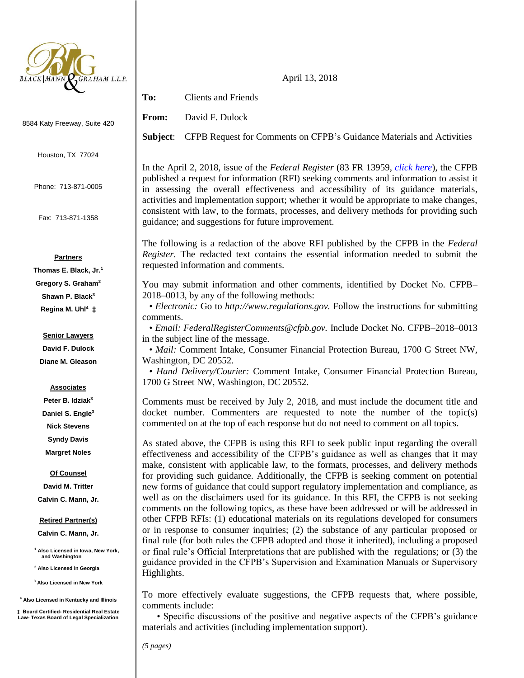

8584 Katy Freeway, Suite 420

Houston, TX 77024

Phone: 713-871-0005

Fax: 713-871-1358

#### **Partners**

**Thomas E. Black, Jr.<sup>1</sup> Gregory S. Graham<sup>2</sup> Shawn P. Black<sup>3</sup> Regina M. Uhl<sup>4</sup> ‡**

> **Senior Lawyers David F. Dulock**

# **Diane M. Gleason**

#### **Associates**

**Peter B. Idziak<sup>3</sup> Daniel S. Engle<sup>3</sup> Nick Stevens Syndy Davis Margret Noles**

#### **Of Counsel**

**David M. Tritter Calvin C. Mann, Jr.**

#### **Retired Partner(s)**

**Calvin C. Mann, Jr.**

**<sup>1</sup> Also Licensed in Iowa, New York, and Washington** 

**<sup>2</sup> Also Licensed in Georgia**

**<sup>3</sup> Also Licensed in New York**

**<sup>4</sup> Also Licensed in Kentucky and Illinois**

**‡ Board Certified- Residential Real Estate Law- Texas Board of Legal Specialization**

April 13, 2018

**To:** Clients and Friends

**From:** David F. Dulock

**Subject**: CFPB Request for Comments on CFPB's Guidance Materials and Activities

In the April 2, 2018, issue of the *Federal Register* (83 FR 13959, *[click here](https://www.gpo.gov/fdsys/pkg/FR-2018-04-02/pdf/2018-06674.pdf)*), the CFPB published a request for information (RFI) seeking comments and information to assist it in assessing the overall effectiveness and accessibility of its guidance materials, activities and implementation support; whether it would be appropriate to make changes, consistent with law, to the formats, processes, and delivery methods for providing such guidance; and suggestions for future improvement.

The following is a redaction of the above RFI published by the CFPB in the *Federal Register*. The redacted text contains the essential information needed to submit the requested information and comments.

You may submit information and other comments, identified by Docket No. CFPB– 2018–0013, by any of the following methods:

• *Electronic:* Go to *http://www.regulations.gov.* Follow the instructions for submitting comments.

• *Email: FederalRegisterComments@cfpb.gov.* Include Docket No. CFPB–2018–0013 in the subject line of the message.

• *Mail:* Comment Intake, Consumer Financial Protection Bureau, 1700 G Street NW, Washington, DC 20552.

• *Hand Delivery/Courier:* Comment Intake, Consumer Financial Protection Bureau, 1700 G Street NW, Washington, DC 20552.

Comments must be received by July 2, 2018, and must include the document title and docket number. Commenters are requested to note the number of the topic(s) commented on at the top of each response but do not need to comment on all topics.

As stated above, the CFPB is using this RFI to seek public input regarding the overall effectiveness and accessibility of the CFPB's guidance as well as changes that it may make, consistent with applicable law, to the formats, processes, and delivery methods for providing such guidance. Additionally, the CFPB is seeking comment on potential new forms of guidance that could support regulatory implementation and compliance, as well as on the disclaimers used for its guidance. In this RFI, the CFPB is not seeking comments on the following topics, as these have been addressed or will be addressed in other CFPB RFIs: (1) educational materials on its regulations developed for consumers or in response to consumer inquiries; (2) the substance of any particular proposed or final rule (for both rules the CFPB adopted and those it inherited), including a proposed or final rule's Official Interpretations that are published with the regulations; or (3) the guidance provided in the CFPB's Supervision and Examination Manuals or Supervisory Highlights.

To more effectively evaluate suggestions, the CFPB requests that, where possible, comments include:

• Specific discussions of the positive and negative aspects of the CFPB's guidance materials and activities (including implementation support).

*(5 pages)*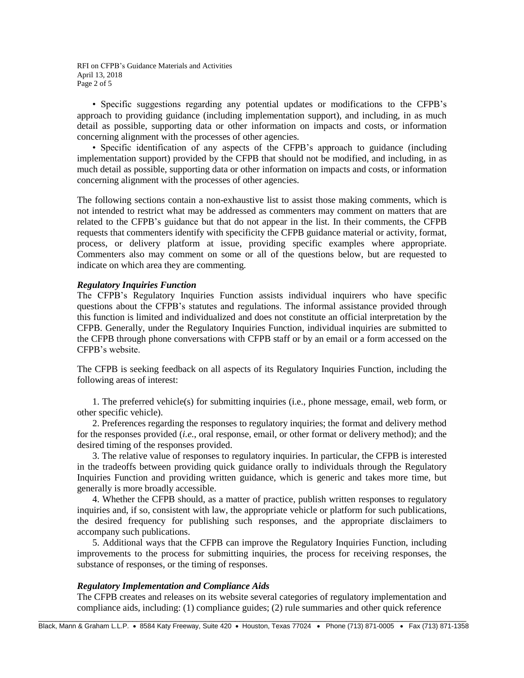RFI on CFPB's Guidance Materials and Activities April 13, 2018 Page 2 of 5

• Specific suggestions regarding any potential updates or modifications to the CFPB's approach to providing guidance (including implementation support), and including, in as much detail as possible, supporting data or other information on impacts and costs, or information concerning alignment with the processes of other agencies.

• Specific identification of any aspects of the CFPB's approach to guidance (including implementation support) provided by the CFPB that should not be modified, and including, in as much detail as possible, supporting data or other information on impacts and costs, or information concerning alignment with the processes of other agencies.

The following sections contain a non-exhaustive list to assist those making comments, which is not intended to restrict what may be addressed as commenters may comment on matters that are related to the CFPB's guidance but that do not appear in the list. In their comments, the CFPB requests that commenters identify with specificity the CFPB guidance material or activity, format, process, or delivery platform at issue, providing specific examples where appropriate. Commenters also may comment on some or all of the questions below, but are requested to indicate on which area they are commenting.

## *Regulatory Inquiries Function*

The CFPB's Regulatory Inquiries Function assists individual inquirers who have specific questions about the CFPB's statutes and regulations. The informal assistance provided through this function is limited and individualized and does not constitute an official interpretation by the CFPB. Generally, under the Regulatory Inquiries Function, individual inquiries are submitted to the CFPB through phone conversations with CFPB staff or by an email or a form accessed on the CFPB's website.

The CFPB is seeking feedback on all aspects of its Regulatory Inquiries Function, including the following areas of interest:

1. The preferred vehicle(s) for submitting inquiries (i.e., phone message, email, web form, or other specific vehicle).

2. Preferences regarding the responses to regulatory inquiries; the format and delivery method for the responses provided (*i.e.*, oral response, email, or other format or delivery method); and the desired timing of the responses provided.

3. The relative value of responses to regulatory inquiries. In particular, the CFPB is interested in the tradeoffs between providing quick guidance orally to individuals through the Regulatory Inquiries Function and providing written guidance, which is generic and takes more time, but generally is more broadly accessible.

4. Whether the CFPB should, as a matter of practice, publish written responses to regulatory inquiries and, if so, consistent with law, the appropriate vehicle or platform for such publications, the desired frequency for publishing such responses, and the appropriate disclaimers to accompany such publications.

5. Additional ways that the CFPB can improve the Regulatory Inquiries Function, including improvements to the process for submitting inquiries, the process for receiving responses, the substance of responses, or the timing of responses.

### *Regulatory Implementation and Compliance Aids*

The CFPB creates and releases on its website several categories of regulatory implementation and compliance aids, including: (1) compliance guides; (2) rule summaries and other quick reference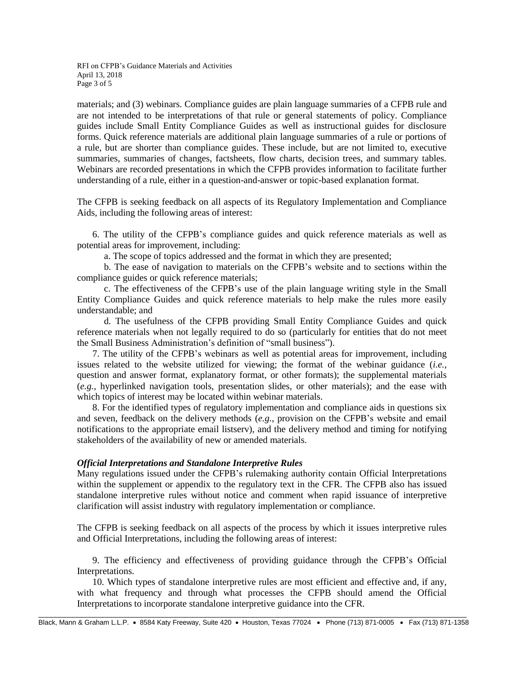RFI on CFPB's Guidance Materials and Activities April 13, 2018 Page 3 of 5

materials; and (3) webinars. Compliance guides are plain language summaries of a CFPB rule and are not intended to be interpretations of that rule or general statements of policy. Compliance guides include Small Entity Compliance Guides as well as instructional guides for disclosure forms. Quick reference materials are additional plain language summaries of a rule or portions of a rule, but are shorter than compliance guides. These include, but are not limited to, executive summaries, summaries of changes, factsheets, flow charts, decision trees, and summary tables. Webinars are recorded presentations in which the CFPB provides information to facilitate further understanding of a rule, either in a question-and-answer or topic-based explanation format.

The CFPB is seeking feedback on all aspects of its Regulatory Implementation and Compliance Aids, including the following areas of interest:

6. The utility of the CFPB's compliance guides and quick reference materials as well as potential areas for improvement, including:

a. The scope of topics addressed and the format in which they are presented;

b. The ease of navigation to materials on the CFPB's website and to sections within the compliance guides or quick reference materials;

c. The effectiveness of the CFPB's use of the plain language writing style in the Small Entity Compliance Guides and quick reference materials to help make the rules more easily understandable; and

d. The usefulness of the CFPB providing Small Entity Compliance Guides and quick reference materials when not legally required to do so (particularly for entities that do not meet the Small Business Administration's definition of "small business").

7. The utility of the CFPB's webinars as well as potential areas for improvement, including issues related to the website utilized for viewing; the format of the webinar guidance (*i.e.*, question and answer format, explanatory format, or other formats); the supplemental materials (*e.g.*, hyperlinked navigation tools, presentation slides, or other materials); and the ease with which topics of interest may be located within webinar materials.

8. For the identified types of regulatory implementation and compliance aids in questions six and seven, feedback on the delivery methods (*e.g.*, provision on the CFPB's website and email notifications to the appropriate email listserv), and the delivery method and timing for notifying stakeholders of the availability of new or amended materials.

### *Official Interpretations and Standalone Interpretive Rules*

Many regulations issued under the CFPB's rulemaking authority contain Official Interpretations within the supplement or appendix to the regulatory text in the CFR. The CFPB also has issued standalone interpretive rules without notice and comment when rapid issuance of interpretive clarification will assist industry with regulatory implementation or compliance.

The CFPB is seeking feedback on all aspects of the process by which it issues interpretive rules and Official Interpretations, including the following areas of interest:

9. The efficiency and effectiveness of providing guidance through the CFPB's Official Interpretations.

10. Which types of standalone interpretive rules are most efficient and effective and, if any, with what frequency and through what processes the CFPB should amend the Official Interpretations to incorporate standalone interpretive guidance into the CFR.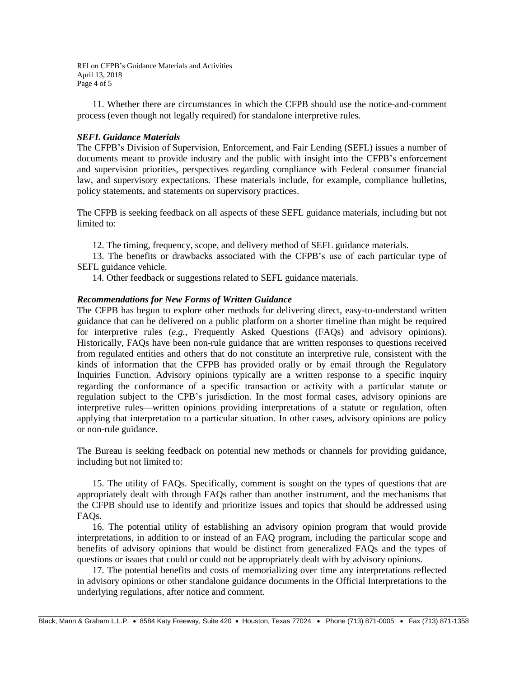RFI on CFPB's Guidance Materials and Activities April 13, 2018 Page 4 of 5

11. Whether there are circumstances in which the CFPB should use the notice-and-comment process (even though not legally required) for standalone interpretive rules.

# *SEFL Guidance Materials*

The CFPB's Division of Supervision, Enforcement, and Fair Lending (SEFL) issues a number of documents meant to provide industry and the public with insight into the CFPB's enforcement and supervision priorities, perspectives regarding compliance with Federal consumer financial law, and supervisory expectations. These materials include, for example, compliance bulletins, policy statements, and statements on supervisory practices.

The CFPB is seeking feedback on all aspects of these SEFL guidance materials, including but not limited to:

12. The timing, frequency, scope, and delivery method of SEFL guidance materials.

13. The benefits or drawbacks associated with the CFPB's use of each particular type of SEFL guidance vehicle.

14. Other feedback or suggestions related to SEFL guidance materials.

# *Recommendations for New Forms of Written Guidance*

The CFPB has begun to explore other methods for delivering direct, easy-to-understand written guidance that can be delivered on a public platform on a shorter timeline than might be required for interpretive rules (*e.g.*, Frequently Asked Questions (FAQs) and advisory opinions). Historically, FAQs have been non-rule guidance that are written responses to questions received from regulated entities and others that do not constitute an interpretive rule, consistent with the kinds of information that the CFPB has provided orally or by email through the Regulatory Inquiries Function. Advisory opinions typically are a written response to a specific inquiry regarding the conformance of a specific transaction or activity with a particular statute or regulation subject to the CPB's jurisdiction. In the most formal cases, advisory opinions are interpretive rules—written opinions providing interpretations of a statute or regulation, often applying that interpretation to a particular situation. In other cases, advisory opinions are policy or non-rule guidance.

The Bureau is seeking feedback on potential new methods or channels for providing guidance, including but not limited to:

15. The utility of FAQs. Specifically, comment is sought on the types of questions that are appropriately dealt with through FAQs rather than another instrument, and the mechanisms that the CFPB should use to identify and prioritize issues and topics that should be addressed using FAQs.

16. The potential utility of establishing an advisory opinion program that would provide interpretations, in addition to or instead of an FAQ program, including the particular scope and benefits of advisory opinions that would be distinct from generalized FAQs and the types of questions or issues that could or could not be appropriately dealt with by advisory opinions.

17. The potential benefits and costs of memorializing over time any interpretations reflected in advisory opinions or other standalone guidance documents in the Official Interpretations to the underlying regulations, after notice and comment.

\_\_\_\_\_\_\_\_\_\_\_\_\_\_\_\_\_\_\_\_\_\_\_\_\_\_\_\_\_\_\_\_\_\_\_\_\_\_\_\_\_\_\_\_\_\_\_\_\_\_\_\_\_\_\_\_\_\_\_\_\_\_\_\_\_\_\_\_\_\_\_\_\_\_\_\_\_\_\_\_\_\_\_\_\_\_\_\_\_\_\_\_\_\_\_\_\_\_\_\_ Black, Mann & Graham L.L.P. • 8584 Katy Freeway, Suite 420 • Houston, Texas 77024 • Phone (713) 871-0005 • Fax (713) 871-1358